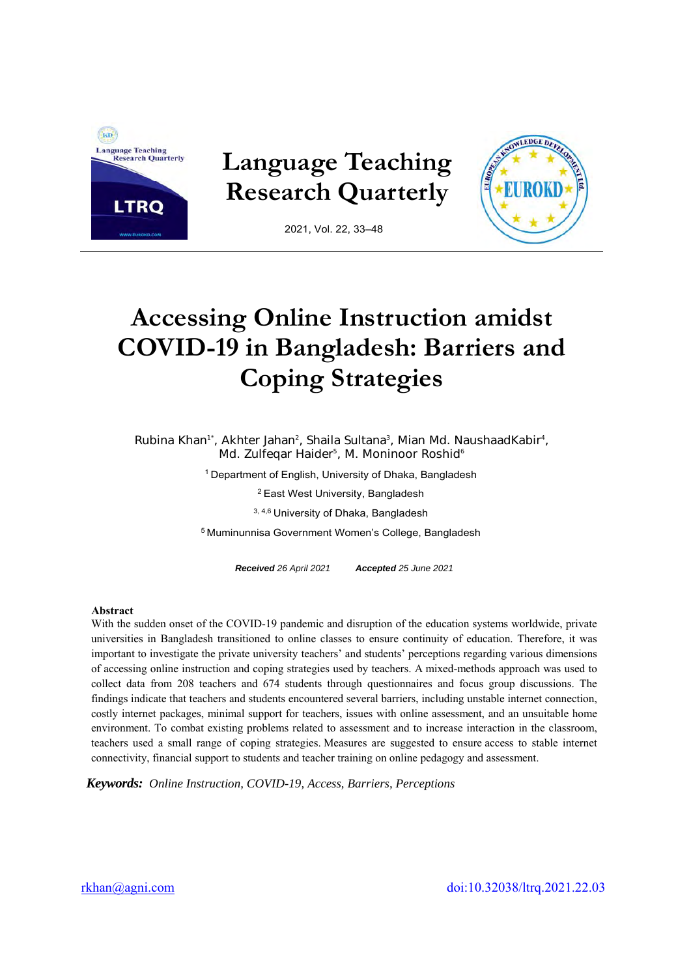

**Language Teaching Research Quarterly** 



2021, Vol. 22, 33–48

# **Accessing Online Instruction amidst COVID-19 in Bangladesh: Barriers and Coping Strategies**

Rubina Khan<sup>1\*</sup>, Akhter Jahan<sup>2</sup>, Shaila Sultana<sup>3</sup>, Mian Md. NaushaadKabir<sup>4</sup>, Md. Zulfeqar Haider<sup>5</sup>, M. Moninoor Roshid<sup>6</sup>

<sup>1</sup> Department of English, University of Dhaka, Bangladesh

<sup>2</sup>East West University, Bangladesh

3, 4,6 University of Dhaka, Bangladesh

<sup>5</sup> Muminunnisa Government Women's College, Bangladesh

*Received 26 April 2021 Accepted 25 June 2021* 

#### **Abstract**

With the sudden onset of the COVID-19 pandemic and disruption of the education systems worldwide, private universities in Bangladesh transitioned to online classes to ensure continuity of education. Therefore, it was important to investigate the private university teachers' and students' perceptions regarding various dimensions of accessing online instruction and coping strategies used by teachers. A mixed-methods approach was used to collect data from 208 teachers and 674 students through questionnaires and focus group discussions. The findings indicate that teachers and students encountered several barriers, including unstable internet connection, costly internet packages, minimal support for teachers, issues with online assessment, and an unsuitable home environment. To combat existing problems related to assessment and to increase interaction in the classroom, teachers used a small range of coping strategies. Measures are suggested to ensure access to stable internet connectivity, financial support to students and teacher training on online pedagogy and assessment.

*Keywords: Online Instruction, COVID-19, Access, Barriers, Perceptions*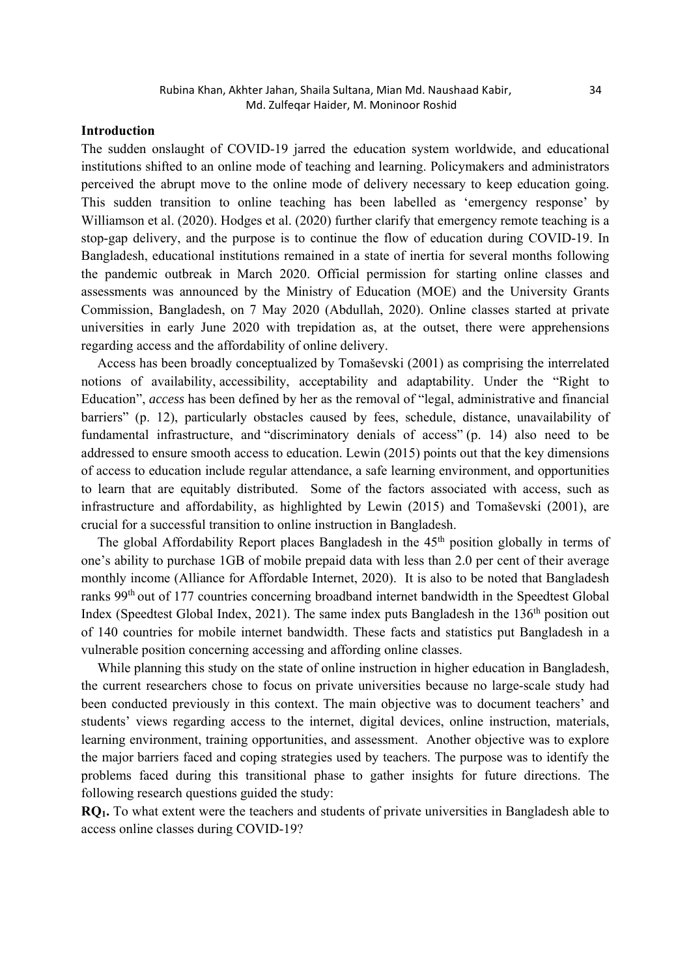# **Introduction**

The sudden onslaught of COVID-19 jarred the education system worldwide, and educational institutions shifted to an online mode of teaching and learning. Policymakers and administrators perceived the abrupt move to the online mode of delivery necessary to keep education going. This sudden transition to online teaching has been labelled as 'emergency response' by Williamson et al. (2020). Hodges et al. (2020) further clarify that emergency remote teaching is a stop-gap delivery, and the purpose is to continue the flow of education during COVID-19. In Bangladesh, educational institutions remained in a state of inertia for several months following the pandemic outbreak in March 2020. Official permission for starting online classes and assessments was announced by the Ministry of Education (MOE) and the University Grants Commission, Bangladesh, on 7 May 2020 (Abdullah, 2020). Online classes started at private universities in early June 2020 with trepidation as, at the outset, there were apprehensions regarding access and the affordability of online delivery.

Access has been broadly conceptualized by Tomaševski (2001) as comprising the interrelated notions of availability, accessibility, acceptability and adaptability. Under the "Right to Education", *access* has been defined by her as the removal of "legal, administrative and financial barriers" (p. 12), particularly obstacles caused by fees, schedule, distance, unavailability of fundamental infrastructure, and "discriminatory denials of access" (p. 14) also need to be addressed to ensure smooth access to education. Lewin (2015) points out that the key dimensions of access to education include regular attendance, a safe learning environment, and opportunities to learn that are equitably distributed. Some of the factors associated with access, such as infrastructure and affordability, as highlighted by Lewin (2015) and Tomaševski (2001), are crucial for a successful transition to online instruction in Bangladesh.

The global Affordability Report places Bangladesh in the 45<sup>th</sup> position globally in terms of one's ability to purchase 1GB of mobile prepaid data with less than 2.0 per cent of their average monthly income (Alliance for Affordable Internet, 2020). It is also to be noted that Bangladesh ranks 99th out of 177 countries concerning broadband internet bandwidth in the Speedtest Global Index (Speedtest Global Index, 2021). The same index puts Bangladesh in the 136<sup>th</sup> position out of 140 countries for mobile internet bandwidth. These facts and statistics put Bangladesh in a vulnerable position concerning accessing and affording online classes.

While planning this study on the state of online instruction in higher education in Bangladesh, the current researchers chose to focus on private universities because no large-scale study had been conducted previously in this context. The main objective was to document teachers' and students' views regarding access to the internet, digital devices, online instruction, materials, learning environment, training opportunities, and assessment. Another objective was to explore the major barriers faced and coping strategies used by teachers. The purpose was to identify the problems faced during this transitional phase to gather insights for future directions. The following research questions guided the study:

**RQ1.** To what extent were the teachers and students of private universities in Bangladesh able to access online classes during COVID-19?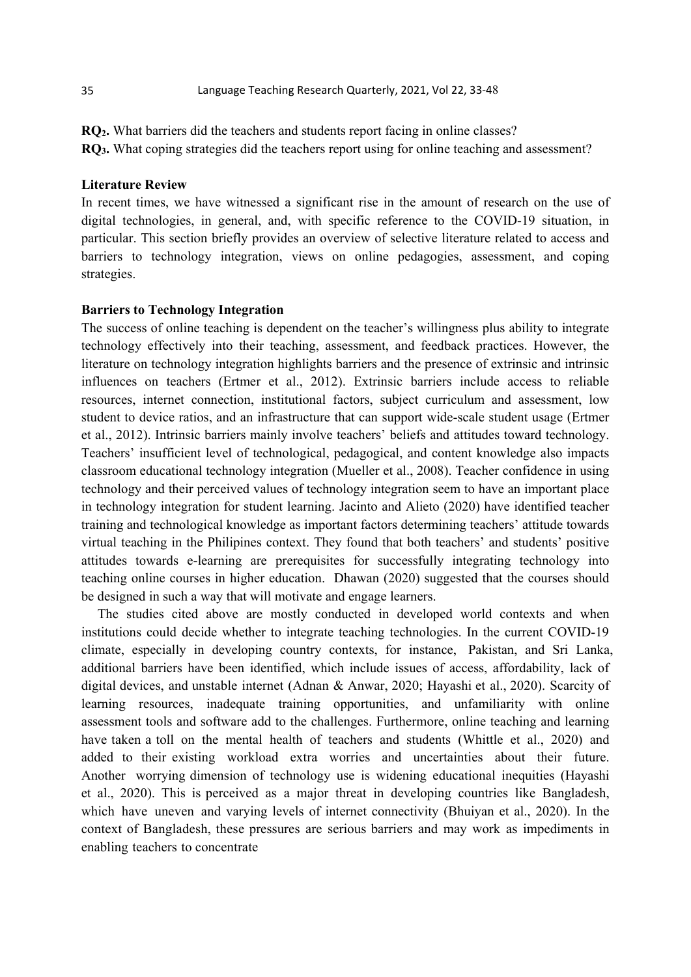**RQ2.** What barriers did the teachers and students report facing in online classes? **RQ3.** What coping strategies did the teachers report using for online teaching and assessment?

# **Literature Review**

In recent times, we have witnessed a significant rise in the amount of research on the use of digital technologies, in general, and, with specific reference to the COVID-19 situation, in particular. This section briefly provides an overview of selective literature related to access and barriers to technology integration, views on online pedagogies, assessment, and coping strategies.

#### **Barriers to Technology Integration**

The success of online teaching is dependent on the teacher's willingness plus ability to integrate technology effectively into their teaching, assessment, and feedback practices. However, the literature on technology integration highlights barriers and the presence of extrinsic and intrinsic influences on teachers (Ertmer et al., 2012). Extrinsic barriers include access to reliable resources, internet connection, institutional factors, subject curriculum and assessment, low student to device ratios, and an infrastructure that can support wide-scale student usage (Ertmer et al., 2012). Intrinsic barriers mainly involve teachers' beliefs and attitudes toward technology. Teachers' insufficient level of technological, pedagogical, and content knowledge also impacts classroom educational technology integration (Mueller et al., 2008). Teacher confidence in using technology and their perceived values of technology integration seem to have an important place in technology integration for student learning. Jacinto and Alieto (2020) have identified teacher training and technological knowledge as important factors determining teachers' attitude towards virtual teaching in the Philipines context. They found that both teachers' and students' positive attitudes towards e-learning are prerequisites for successfully integrating technology into teaching online courses in higher education. Dhawan (2020) suggested that the courses should be designed in such a way that will motivate and engage learners.

The studies cited above are mostly conducted in developed world contexts and when institutions could decide whether to integrate teaching technologies. In the current COVID-19 climate, especially in developing country contexts, for instance, Pakistan, and Sri Lanka, additional barriers have been identified, which include issues of access, affordability, lack of digital devices, and unstable internet (Adnan & Anwar, 2020; Hayashi et al., 2020). Scarcity of learning resources, inadequate training opportunities, and unfamiliarity with online assessment tools and software add to the challenges. Furthermore, online teaching and learning have taken a toll on the mental health of teachers and students (Whittle et al., 2020) and added to their existing workload extra worries and uncertainties about their future. Another worrying dimension of technology use is widening educational inequities (Hayashi et al., 2020). This is perceived as a major threat in developing countries like Bangladesh, which have uneven and varying levels of internet connectivity (Bhuiyan et al., 2020). In the context of Bangladesh, these pressures are serious barriers and may work as impediments in enabling teachers to concentrate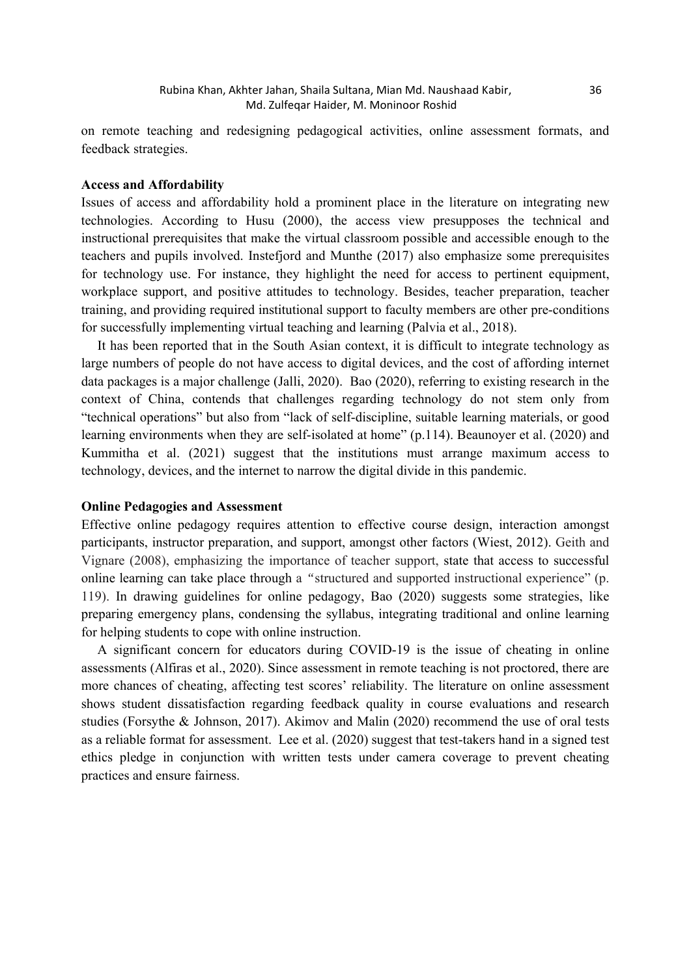on remote teaching and redesigning pedagogical activities, online assessment formats, and feedback strategies.

# **Access and Affordability**

Issues of access and affordability hold a prominent place in the literature on integrating new technologies. According to Husu (2000), the access view presupposes the technical and instructional prerequisites that make the virtual classroom possible and accessible enough to the teachers and pupils involved. Instefjord and Munthe (2017) also emphasize some prerequisites for technology use. For instance, they highlight the need for access to pertinent equipment, workplace support, and positive attitudes to technology. Besides, teacher preparation, teacher training, and providing required institutional support to faculty members are other pre-conditions for successfully implementing virtual teaching and learning (Palvia et al., 2018).

It has been reported that in the South Asian context, it is difficult to integrate technology as large numbers of people do not have access to digital devices, and the cost of affording internet data packages is a major challenge (Jalli, 2020). Bao (2020), referring to existing research in the context of China, contends that challenges regarding technology do not stem only from "technical operations" but also from "lack of self-discipline, suitable learning materials, or good learning environments when they are self-isolated at home" (p.114). Beaunoyer et al. (2020) and Kummitha et al. (2021) suggest that the institutions must arrange maximum access to technology, devices, and the internet to narrow the digital divide in this pandemic.

## **Online Pedagogies and Assessment**

Effective online pedagogy requires attention to effective course design, interaction amongst participants, instructor preparation, and support, amongst other factors (Wiest, 2012). Geith and Vignare (2008), emphasizing the importance of teacher support, state that access to successful online learning can take place through a *"*structured and supported instructional experience" (p. 119). In drawing guidelines for online pedagogy, Bao (2020) suggests some strategies, like preparing emergency plans, condensing the syllabus, integrating traditional and online learning for helping students to cope with online instruction.

A significant concern for educators during COVID-19 is the issue of cheating in online assessments (Alfiras et al., 2020). Since assessment in remote teaching is not proctored, there are more chances of cheating, affecting test scores' reliability. The literature on online assessment shows student dissatisfaction regarding feedback quality in course evaluations and research studies (Forsythe & Johnson, 2017). Akimov and Malin (2020) recommend the use of oral tests as a reliable format for assessment. Lee et al. (2020) suggest that test-takers hand in a signed test ethics pledge in conjunction with written tests under camera coverage to prevent cheating practices and ensure fairness.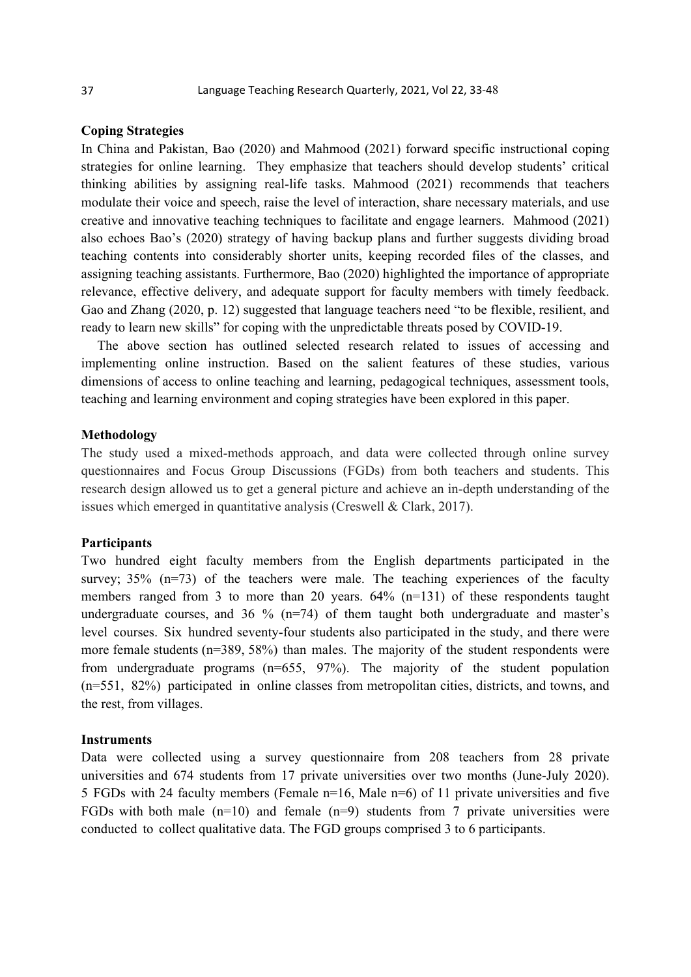# **Coping Strategies**

In China and Pakistan, Bao (2020) and Mahmood (2021) forward specific instructional coping strategies for online learning. They emphasize that teachers should develop students' critical thinking abilities by assigning real-life tasks. Mahmood (2021) recommends that teachers modulate their voice and speech, raise the level of interaction, share necessary materials, and use creative and innovative teaching techniques to facilitate and engage learners. Mahmood (2021) also echoes Bao's (2020) strategy of having backup plans and further suggests dividing broad teaching contents into considerably shorter units, keeping recorded files of the classes, and assigning teaching assistants. Furthermore, Bao (2020) highlighted the importance of appropriate relevance, effective delivery, and adequate support for faculty members with timely feedback. Gao and Zhang (2020, p. 12) suggested that language teachers need "to be flexible, resilient, and ready to learn new skills" for coping with the unpredictable threats posed by COVID-19.

The above section has outlined selected research related to issues of accessing and implementing online instruction. Based on the salient features of these studies, various dimensions of access to online teaching and learning, pedagogical techniques, assessment tools, teaching and learning environment and coping strategies have been explored in this paper.

# **Methodology**

The study used a mixed-methods approach, and data were collected through online survey questionnaires and Focus Group Discussions (FGDs) from both teachers and students. This research design allowed us to get a general picture and achieve an in-depth understanding of the issues which emerged in quantitative analysis (Creswell & Clark, 2017).

#### **Participants**

Two hundred eight faculty members from the English departments participated in the survey;  $35\%$  (n=73) of the teachers were male. The teaching experiences of the faculty members ranged from 3 to more than 20 years. 64% (n=131) of these respondents taught undergraduate courses, and  $36\%$  (n=74) of them taught both undergraduate and master's level courses. Six hundred seventy-four students also participated in the study, and there were more female students (n=389, 58%) than males. The majority of the student respondents were from undergraduate programs (n=655, 97%). The majority of the student population (n=551, 82%) participated in online classes from metropolitan cities, districts, and towns, and the rest, from villages.

#### **Instruments**

Data were collected using a survey questionnaire from 208 teachers from 28 private universities and 674 students from 17 private universities over two months (June-July 2020). 5 FGDs with 24 faculty members (Female n=16, Male n=6) of 11 private universities and five FGDs with both male  $(n=10)$  and female  $(n=9)$  students from 7 private universities were conducted to collect qualitative data. The FGD groups comprised 3 to 6 participants.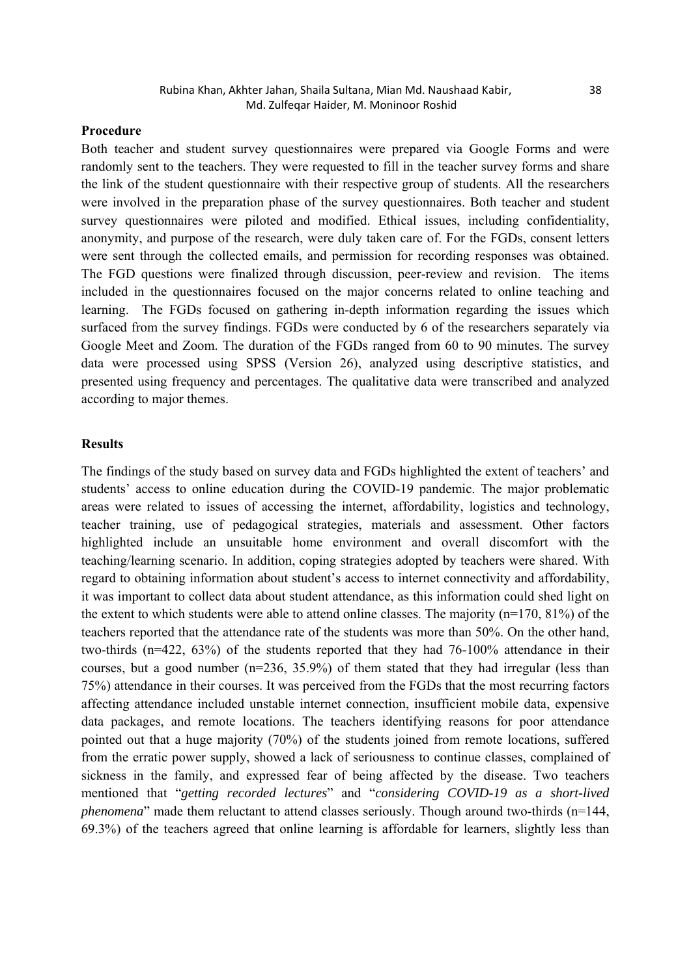# **Procedure**

Both teacher and student survey questionnaires were prepared via Google Forms and were randomly sent to the teachers. They were requested to fill in the teacher survey forms and share the link of the student questionnaire with their respective group of students. All the researchers were involved in the preparation phase of the survey questionnaires. Both teacher and student survey questionnaires were piloted and modified. Ethical issues, including confidentiality, anonymity, and purpose of the research, were duly taken care of. For the FGDs, consent letters were sent through the collected emails, and permission for recording responses was obtained. The FGD questions were finalized through discussion, peer-review and revision. The items included in the questionnaires focused on the major concerns related to online teaching and learning. The FGDs focused on gathering in-depth information regarding the issues which surfaced from the survey findings. FGDs were conducted by 6 of the researchers separately via Google Meet and Zoom. The duration of the FGDs ranged from 60 to 90 minutes. The survey data were processed using SPSS (Version 26), analyzed using descriptive statistics, and presented using frequency and percentages. The qualitative data were transcribed and analyzed according to major themes.

## **Results**

The findings of the study based on survey data and FGDs highlighted the extent of teachers' and students' access to online education during the COVID-19 pandemic. The major problematic areas were related to issues of accessing the internet, affordability, logistics and technology, teacher training, use of pedagogical strategies, materials and assessment. Other factors highlighted include an unsuitable home environment and overall discomfort with the teaching/learning scenario. In addition, coping strategies adopted by teachers were shared. With regard to obtaining information about student's access to internet connectivity and affordability, it was important to collect data about student attendance, as this information could shed light on the extent to which students were able to attend online classes. The majority (n=170, 81%) of the teachers reported that the attendance rate of the students was more than 50%. On the other hand, two-thirds (n=422, 63%) of the students reported that they had 76-100% attendance in their courses, but a good number  $(n=236, 35.9%)$  of them stated that they had irregular (less than 75%) attendance in their courses. It was perceived from the FGDs that the most recurring factors affecting attendance included unstable internet connection, insufficient mobile data, expensive data packages, and remote locations. The teachers identifying reasons for poor attendance pointed out that a huge majority (70%) of the students joined from remote locations, suffered from the erratic power supply, showed a lack of seriousness to continue classes, complained of sickness in the family, and expressed fear of being affected by the disease. Two teachers mentioned that "*getting recorded lectures*" and "*considering COVID-19 as a short-lived phenomena*" made them reluctant to attend classes seriously. Though around two-thirds (n=144, 69.3%) of the teachers agreed that online learning is affordable for learners, slightly less than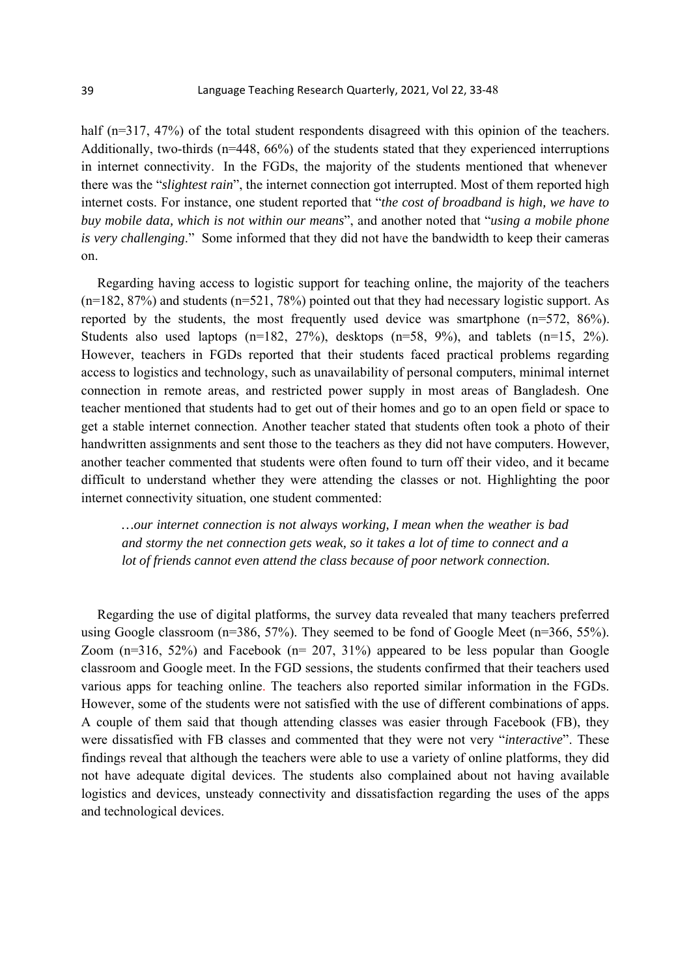half (n=317, 47%) of the total student respondents disagreed with this opinion of the teachers. Additionally, two-thirds (n=448, 66%) of the students stated that they experienced interruptions in internet connectivity. In the FGDs, the majority of the students mentioned that whenever there was the "*slightest rain*", the internet connection got interrupted. Most of them reported high internet costs. For instance, one student reported that "*the cost of broadband is high, we have to buy mobile data, which is not within our means*", and another noted that "*using a mobile phone is very challenging*." Some informed that they did not have the bandwidth to keep their cameras on.

Regarding having access to logistic support for teaching online, the majority of the teachers (n=182, 87%) and students (n=521, 78%) pointed out that they had necessary logistic support. As reported by the students, the most frequently used device was smartphone (n=572, 86%). Students also used laptops (n=182, 27%), desktops (n=58, 9%), and tablets (n=15, 2%). However, teachers in FGDs reported that their students faced practical problems regarding access to logistics and technology, such as unavailability of personal computers, minimal internet connection in remote areas, and restricted power supply in most areas of Bangladesh. One teacher mentioned that students had to get out of their homes and go to an open field or space to get a stable internet connection. Another teacher stated that students often took a photo of their handwritten assignments and sent those to the teachers as they did not have computers. However, another teacher commented that students were often found to turn off their video, and it became difficult to understand whether they were attending the classes or not. Highlighting the poor internet connectivity situation, one student commented:

*…our internet connection is not always working, I mean when the weather is bad and stormy the net connection gets weak, so it takes a lot of time to connect and a lot of friends cannot even attend the class because of poor network connection.* 

Regarding the use of digital platforms, the survey data revealed that many teachers preferred using Google classroom  $(n=386, 57%)$ . They seemed to be fond of Google Meet  $(n=366, 55%)$ . Zoom (n=316, 52%) and Facebook (n= 207, 31%) appeared to be less popular than Google classroom and Google meet. In the FGD sessions, the students confirmed that their teachers used various apps for teaching online. The teachers also reported similar information in the FGDs. However, some of the students were not satisfied with the use of different combinations of apps. A couple of them said that though attending classes was easier through Facebook (FB), they were dissatisfied with FB classes and commented that they were not very "*interactive*". These findings reveal that although the teachers were able to use a variety of online platforms, they did not have adequate digital devices. The students also complained about not having available logistics and devices, unsteady connectivity and dissatisfaction regarding the uses of the apps and technological devices.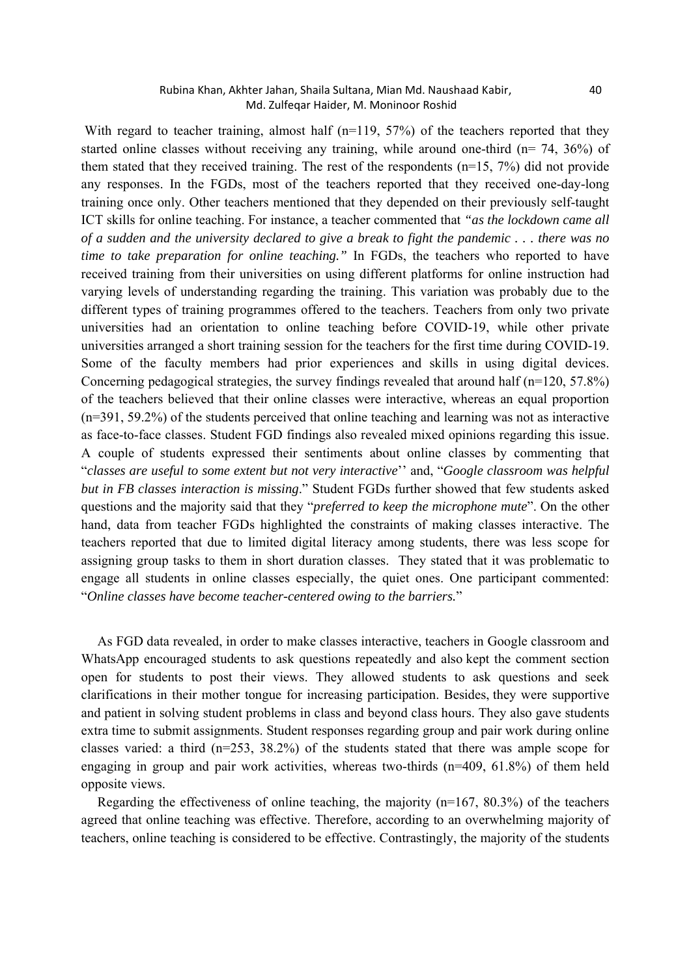## Rubina Khan, Akhter Jahan, Shaila Sultana, Mian Md. Naushaad Kabir, 40 Md. Zulfeqar Haider, M. Moninoor Roshid

With regard to teacher training, almost half (n=119, 57%) of the teachers reported that they started online classes without receiving any training, while around one-third ( $n= 74$ ,  $36\%$ ) of them stated that they received training. The rest of the respondents  $(n=15, 7%)$  did not provide any responses. In the FGDs, most of the teachers reported that they received one-day-long training once only. Other teachers mentioned that they depended on their previously self-taught ICT skills for online teaching. For instance, a teacher commented that *"as the lockdown came all of a sudden and the university declared to give a break to fight the pandemic . . . there was no time to take preparation for online teaching."* In FGDs, the teachers who reported to have received training from their universities on using different platforms for online instruction had varying levels of understanding regarding the training. This variation was probably due to the different types of training programmes offered to the teachers. Teachers from only two private universities had an orientation to online teaching before COVID-19, while other private universities arranged a short training session for the teachers for the first time during COVID-19. Some of the faculty members had prior experiences and skills in using digital devices. Concerning pedagogical strategies, the survey findings revealed that around half  $(n=120, 57.8\%)$ of the teachers believed that their online classes were interactive, whereas an equal proportion (n=391, 59.2%) of the students perceived that online teaching and learning was not as interactive as face-to-face classes. Student FGD findings also revealed mixed opinions regarding this issue. A couple of students expressed their sentiments about online classes by commenting that "*classes are useful to some extent but not very interactive*'' and, "*Google classroom was helpful but in FB classes interaction is missing*." Student FGDs further showed that few students asked questions and the majority said that they "*preferred to keep the microphone mute*". On the other hand, data from teacher FGDs highlighted the constraints of making classes interactive. The teachers reported that due to limited digital literacy among students, there was less scope for assigning group tasks to them in short duration classes. They stated that it was problematic to engage all students in online classes especially, the quiet ones. One participant commented: "*Online classes have become teacher-centered owing to the barriers.*"

As FGD data revealed, in order to make classes interactive, teachers in Google classroom and WhatsApp encouraged students to ask questions repeatedly and also kept the comment section open for students to post their views. They allowed students to ask questions and seek clarifications in their mother tongue for increasing participation. Besides, they were supportive and patient in solving student problems in class and beyond class hours. They also gave students extra time to submit assignments. Student responses regarding group and pair work during online classes varied: a third (n=253, 38.2%) of the students stated that there was ample scope for engaging in group and pair work activities, whereas two-thirds (n=409, 61.8%) of them held opposite views.

Regarding the effectiveness of online teaching, the majority  $(n=167, 80.3%)$  of the teachers agreed that online teaching was effective. Therefore, according to an overwhelming majority of teachers, online teaching is considered to be effective. Contrastingly, the majority of the students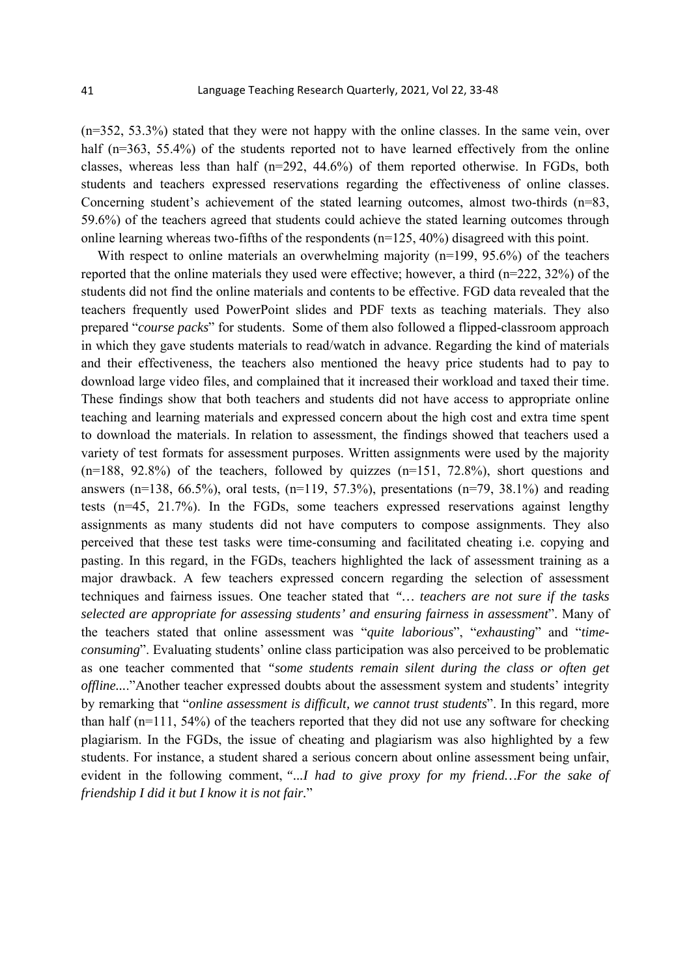(n=352, 53.3%) stated that they were not happy with the online classes. In the same vein, over half (n=363, 55.4%) of the students reported not to have learned effectively from the online classes, whereas less than half (n=292, 44.6%) of them reported otherwise. In FGDs, both students and teachers expressed reservations regarding the effectiveness of online classes. Concerning student's achievement of the stated learning outcomes, almost two-thirds (n=83, 59.6%) of the teachers agreed that students could achieve the stated learning outcomes through online learning whereas two-fifths of the respondents  $(n=125, 40%)$  disagreed with this point.

With respect to online materials an overwhelming majority (n=199, 95.6%) of the teachers reported that the online materials they used were effective; however, a third (n=222, 32%) of the students did not find the online materials and contents to be effective. FGD data revealed that the teachers frequently used PowerPoint slides and PDF texts as teaching materials. They also prepared "*course packs*" for students. Some of them also followed a flipped-classroom approach in which they gave students materials to read/watch in advance. Regarding the kind of materials and their effectiveness, the teachers also mentioned the heavy price students had to pay to download large video files, and complained that it increased their workload and taxed their time. These findings show that both teachers and students did not have access to appropriate online teaching and learning materials and expressed concern about the high cost and extra time spent to download the materials. In relation to assessment, the findings showed that teachers used a variety of test formats for assessment purposes. Written assignments were used by the majority  $(n=188, 92.8%)$  of the teachers, followed by quizzes  $(n=151, 72.8%)$ , short questions and answers (n=138, 66.5%), oral tests, (n=119, 57.3%), presentations (n=79, 38.1%) and reading tests (n=45, 21.7%). In the FGDs, some teachers expressed reservations against lengthy assignments as many students did not have computers to compose assignments. They also perceived that these test tasks were time-consuming and facilitated cheating i.e. copying and pasting. In this regard, in the FGDs, teachers highlighted the lack of assessment training as a major drawback. A few teachers expressed concern regarding the selection of assessment techniques and fairness issues. One teacher stated that *"… teachers are not sure if the tasks selected are appropriate for assessing students' and ensuring fairness in assessment*". Many of the teachers stated that online assessment was "*quite laborious*", "*exhausting*" and "*timeconsuming*". Evaluating students' online class participation was also perceived to be problematic as one teacher commented that *"some students remain silent during the class or often get offline....*"Another teacher expressed doubts about the assessment system and students' integrity by remarking that "*online assessment is difficult, we cannot trust students*". In this regard, more than half (n=111, 54%) of the teachers reported that they did not use any software for checking plagiarism. In the FGDs, the issue of cheating and plagiarism was also highlighted by a few students. For instance, a student shared a serious concern about online assessment being unfair, evident in the following comment, *"...I had to give proxy for my friend…For the sake of friendship I did it but I know it is not fair.*"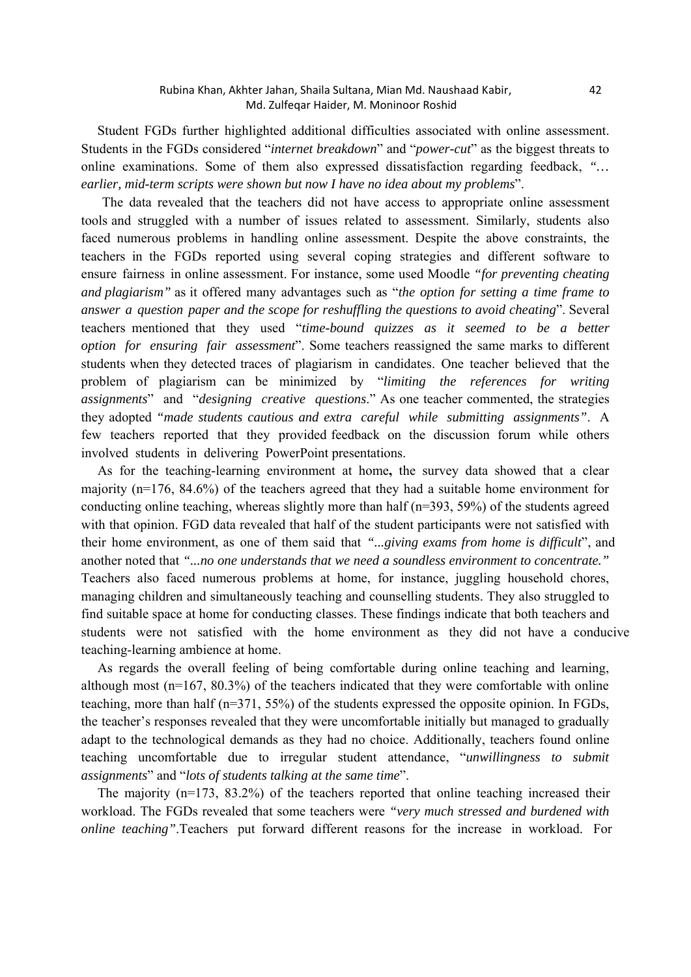Student FGDs further highlighted additional difficulties associated with online assessment. Students in the FGDs considered "*internet breakdown*" and "*power-cut*" as the biggest threats to online examinations. Some of them also expressed dissatisfaction regarding feedback, *"… earlier, mid-term scripts were shown but now I have no idea about my problems*".

 The data revealed that the teachers did not have access to appropriate online assessment tools and struggled with a number of issues related to assessment. Similarly, students also faced numerous problems in handling online assessment. Despite the above constraints, the teachers in the FGDs reported using several coping strategies and different software to ensure fairness in online assessment. For instance, some used Moodle *"for preventing cheating and plagiarism"* as it offered many advantages such as "*the option for setting a time frame to answer a question paper and the scope for reshuffling the questions to avoid cheating*". Several teachers mentioned that they used "*time-bound quizzes as it seemed to be a better option for ensuring fair assessment*". Some teachers reassigned the same marks to different students when they detected traces of plagiarism in candidates. One teacher believed that the problem of plagiarism can be minimized by "*limiting the references for writing assignments*" and "*designing creative questions*." As one teacher commented, the strategies they adopted *"made students cautious and extra careful while submitting assignments"*. A few teachers reported that they provided feedback on the discussion forum while others involved students in delivering PowerPoint presentations.

As for the teaching-learning environment at home**,** the survey data showed that a clear majority (n=176, 84.6%) of the teachers agreed that they had a suitable home environment for conducting online teaching, whereas slightly more than half  $(n=393, 59%)$  of the students agreed with that opinion. FGD data revealed that half of the student participants were not satisfied with their home environment, as one of them said that *"...giving exams from home is difficult*", and another noted that *"...no one understands that we need a soundless environment to concentrate."* Teachers also faced numerous problems at home, for instance, juggling household chores, managing children and simultaneously teaching and counselling students. They also struggled to find suitable space at home for conducting classes. These findings indicate that both teachers and students were not satisfied with the home environment as they did not have a conducive teaching-learning ambience at home.

As regards the overall feeling of being comfortable during online teaching and learning, although most  $(n=167, 80.3%)$  of the teachers indicated that they were comfortable with online teaching, more than half (n=371, 55%) of the students expressed the opposite opinion. In FGDs, the teacher's responses revealed that they were uncomfortable initially but managed to gradually adapt to the technological demands as they had no choice. Additionally, teachers found online teaching uncomfortable due to irregular student attendance, "*unwillingness to submit assignments*" and "*lots of students talking at the same time*".

The majority  $(n=173, 83.2%)$  of the teachers reported that online teaching increased their workload. The FGDs revealed that some teachers were *"very much stressed and burdened with online teaching"*.Teachers put forward different reasons for the increase in workload. For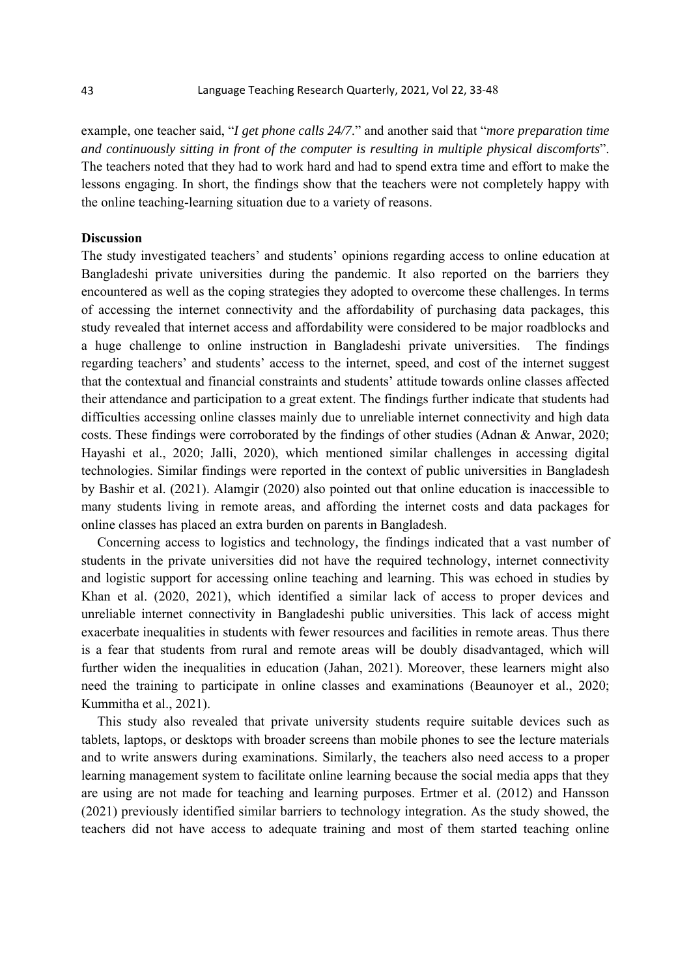example, one teacher said, "*I get phone calls 24/7*." and another said that "*more preparation time and continuously sitting in front of the computer is resulting in multiple physical discomforts*". The teachers noted that they had to work hard and had to spend extra time and effort to make the lessons engaging. In short, the findings show that the teachers were not completely happy with the online teaching-learning situation due to a variety of reasons.

# **Discussion**

The study investigated teachers' and students' opinions regarding access to online education at Bangladeshi private universities during the pandemic. It also reported on the barriers they encountered as well as the coping strategies they adopted to overcome these challenges. In terms of accessing the internet connectivity and the affordability of purchasing data packages, this study revealed that internet access and affordability were considered to be major roadblocks and a huge challenge to online instruction in Bangladeshi private universities. The findings regarding teachers' and students' access to the internet, speed, and cost of the internet suggest that the contextual and financial constraints and students' attitude towards online classes affected their attendance and participation to a great extent. The findings further indicate that students had difficulties accessing online classes mainly due to unreliable internet connectivity and high data costs. These findings were corroborated by the findings of other studies (Adnan & Anwar, 2020; Hayashi et al., 2020; Jalli, 2020), which mentioned similar challenges in accessing digital technologies. Similar findings were reported in the context of public universities in Bangladesh by Bashir et al. (2021). Alamgir (2020) also pointed out that online education is inaccessible to many students living in remote areas, and affording the internet costs and data packages for online classes has placed an extra burden on parents in Bangladesh.

Concerning access to logistics and technology*,* the findings indicated that a vast number of students in the private universities did not have the required technology, internet connectivity and logistic support for accessing online teaching and learning. This was echoed in studies by Khan et al. (2020, 2021), which identified a similar lack of access to proper devices and unreliable internet connectivity in Bangladeshi public universities. This lack of access might exacerbate inequalities in students with fewer resources and facilities in remote areas. Thus there is a fear that students from rural and remote areas will be doubly disadvantaged, which will further widen the inequalities in education (Jahan, 2021). Moreover, these learners might also need the training to participate in online classes and examinations (Beaunoyer et al., 2020; Kummitha et al., 2021).

This study also revealed that private university students require suitable devices such as tablets, laptops, or desktops with broader screens than mobile phones to see the lecture materials and to write answers during examinations. Similarly, the teachers also need access to a proper learning management system to facilitate online learning because the social media apps that they are using are not made for teaching and learning purposes. Ertmer et al. (2012) and Hansson (2021) previously identified similar barriers to technology integration. As the study showed, the teachers did not have access to adequate training and most of them started teaching online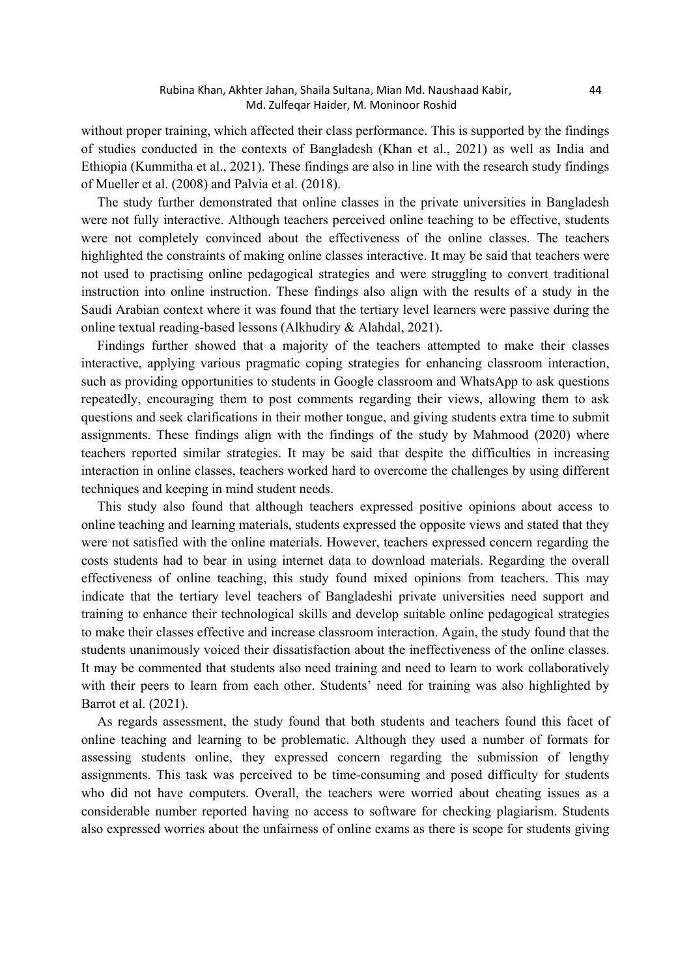without proper training, which affected their class performance. This is supported by the findings of studies conducted in the contexts of Bangladesh (Khan et al., 2021) as well as India and Ethiopia (Kummitha et al., 2021). These findings are also in line with the research study findings of Mueller et al. (2008) and Palvia et al. (2018).

The study further demonstrated that online classes in the private universities in Bangladesh were not fully interactive. Although teachers perceived online teaching to be effective, students were not completely convinced about the effectiveness of the online classes. The teachers highlighted the constraints of making online classes interactive. It may be said that teachers were not used to practising online pedagogical strategies and were struggling to convert traditional instruction into online instruction. These findings also align with the results of a study in the Saudi Arabian context where it was found that the tertiary level learners were passive during the online textual reading-based lessons (Alkhudiry & Alahdal, 2021).

Findings further showed that a majority of the teachers attempted to make their classes interactive, applying various pragmatic coping strategies for enhancing classroom interaction, such as providing opportunities to students in Google classroom and WhatsApp to ask questions repeatedly, encouraging them to post comments regarding their views, allowing them to ask questions and seek clarifications in their mother tongue, and giving students extra time to submit assignments. These findings align with the findings of the study by Mahmood (2020) where teachers reported similar strategies. It may be said that despite the difficulties in increasing interaction in online classes, teachers worked hard to overcome the challenges by using different techniques and keeping in mind student needs.

This study also found that although teachers expressed positive opinions about access to online teaching and learning materials, students expressed the opposite views and stated that they were not satisfied with the online materials. However, teachers expressed concern regarding the costs students had to bear in using internet data to download materials. Regarding the overall effectiveness of online teaching, this study found mixed opinions from teachers. This may indicate that the tertiary level teachers of Bangladeshi private universities need support and training to enhance their technological skills and develop suitable online pedagogical strategies to make their classes effective and increase classroom interaction. Again, the study found that the students unanimously voiced their dissatisfaction about the ineffectiveness of the online classes. It may be commented that students also need training and need to learn to work collaboratively with their peers to learn from each other. Students' need for training was also highlighted by Barrot et al. (2021).

As regards assessment, the study found that both students and teachers found this facet of online teaching and learning to be problematic. Although they used a number of formats for assessing students online, they expressed concern regarding the submission of lengthy assignments. This task was perceived to be time-consuming and posed difficulty for students who did not have computers. Overall, the teachers were worried about cheating issues as a considerable number reported having no access to software for checking plagiarism. Students also expressed worries about the unfairness of online exams as there is scope for students giving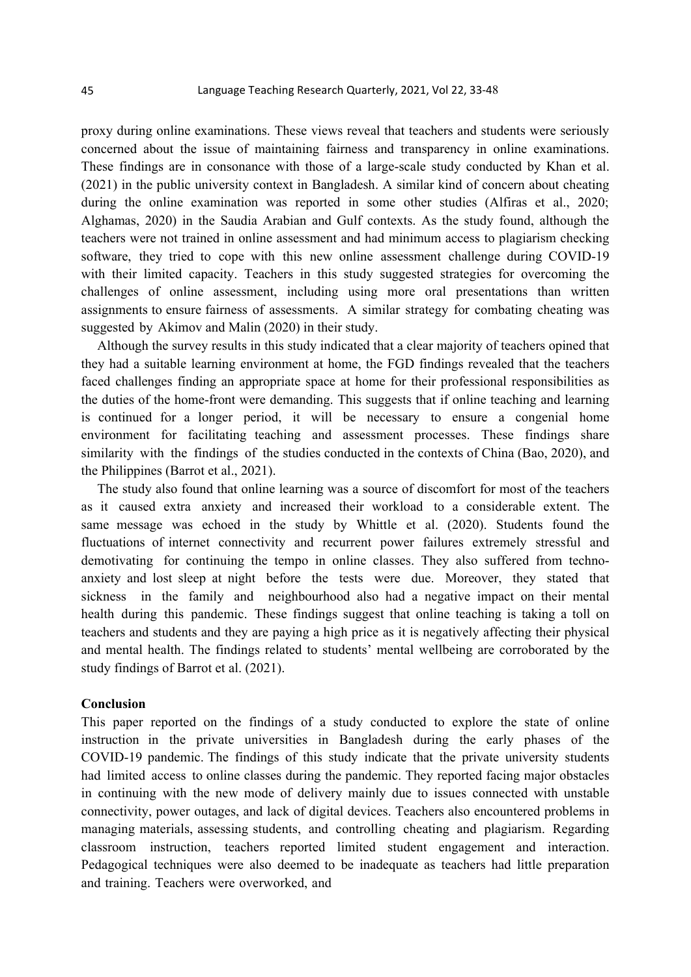proxy during online examinations. These views reveal that teachers and students were seriously concerned about the issue of maintaining fairness and transparency in online examinations. These findings are in consonance with those of a large-scale study conducted by Khan et al. (2021) in the public university context in Bangladesh. A similar kind of concern about cheating during the online examination was reported in some other studies (Alfiras et al., 2020; Alghamas, 2020) in the Saudia Arabian and Gulf contexts. As the study found, although the teachers were not trained in online assessment and had minimum access to plagiarism checking software, they tried to cope with this new online assessment challenge during COVID-19 with their limited capacity. Teachers in this study suggested strategies for overcoming the challenges of online assessment, including using more oral presentations than written assignments to ensure fairness of assessments. A similar strategy for combating cheating was suggested by Akimov and Malin (2020) in their study.

Although the survey results in this study indicated that a clear majority of teachers opined that they had a suitable learning environment at home, the FGD findings revealed that the teachers faced challenges finding an appropriate space at home for their professional responsibilities as the duties of the home-front were demanding. This suggests that if online teaching and learning is continued for a longer period, it will be necessary to ensure a congenial home environment for facilitating teaching and assessment processes. These findings share similarity with the findings of the studies conducted in the contexts of China (Bao, 2020), and the Philippines (Barrot et al., 2021).

The study also found that online learning was a source of discomfort for most of the teachers as it caused extra anxiety and increased their workload to a considerable extent. The same message was echoed in the study by Whittle et al. (2020). Students found the fluctuations of internet connectivity and recurrent power failures extremely stressful and demotivating for continuing the tempo in online classes. They also suffered from technoanxiety and lost sleep at night before the tests were due. Moreover, they stated that sickness in the family and neighbourhood also had a negative impact on their mental health during this pandemic. These findings suggest that online teaching is taking a toll on teachers and students and they are paying a high price as it is negatively affecting their physical and mental health. The findings related to students' mental wellbeing are corroborated by the study findings of Barrot et al. (2021).

# **Conclusion**

This paper reported on the findings of a study conducted to explore the state of online instruction in the private universities in Bangladesh during the early phases of the COVID-19 pandemic. The findings of this study indicate that the private university students had limited access to online classes during the pandemic. They reported facing major obstacles in continuing with the new mode of delivery mainly due to issues connected with unstable connectivity, power outages, and lack of digital devices. Teachers also encountered problems in managing materials, assessing students, and controlling cheating and plagiarism. Regarding classroom instruction, teachers reported limited student engagement and interaction. Pedagogical techniques were also deemed to be inadequate as teachers had little preparation and training. Teachers were overworked, and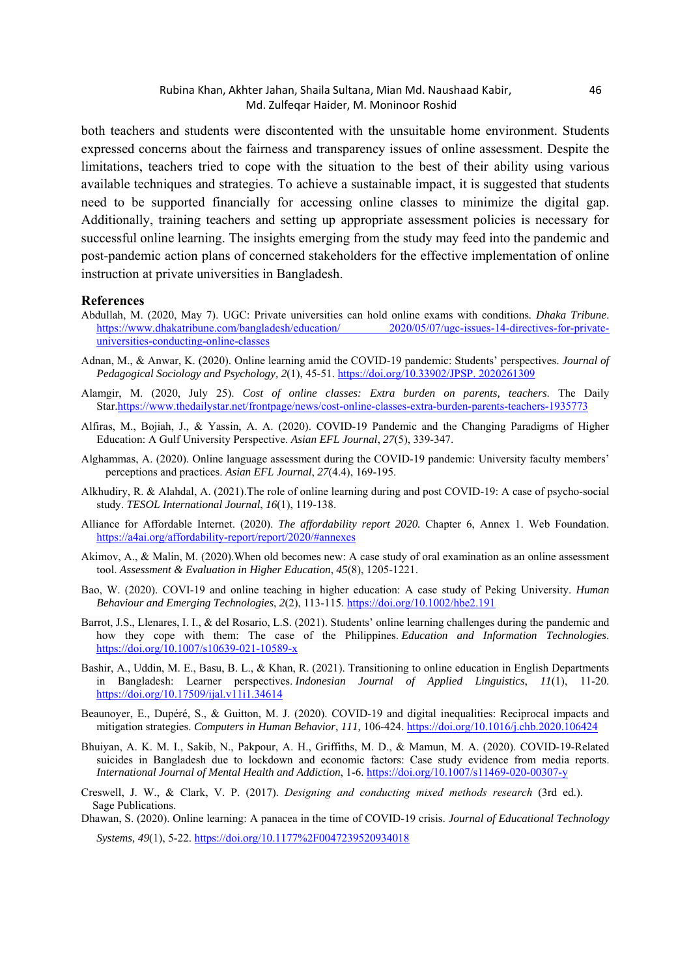#### Rubina Khan, Akhter Jahan, Shaila Sultana, Mian Md. Naushaad Kabir, 46 Md. Zulfeqar Haider, M. Moninoor Roshid

both teachers and students were discontented with the unsuitable home environment. Students expressed concerns about the fairness and transparency issues of online assessment. Despite the limitations, teachers tried to cope with the situation to the best of their ability using various available techniques and strategies. To achieve a sustainable impact, it is suggested that students need to be supported financially for accessing online classes to minimize the digital gap. Additionally, training teachers and setting up appropriate assessment policies is necessary for successful online learning. The insights emerging from the study may feed into the pandemic and post-pandemic action plans of concerned stakeholders for the effective implementation of online instruction at private universities in Bangladesh.

#### **References**

- Abdullah, M. (2020, May 7). UGC: Private universities can hold online exams with conditions*. Dhaka Tribune*. https://www.dhakatribune.com/bangladesh/education/ 2020/05/07/ugc-issues-14-directives-for-privateuniversities-conducting-online-classes
- Adnan, M., & Anwar, K. (2020). Online learning amid the COVID-19 pandemic: Students' perspectives. *Journal of Pedagogical Sociology and Psychology, 2*(1), 45-51. https://doi.org/10.33902/JPSP. 2020261309
- Alamgir, M. (2020, July 25). *Cost of online classes: Extra burden on parents, teachers*. The Daily Star.https://www.thedailystar.net/frontpage/news/cost-online-classes-extra-burden-parents-teachers-1935773
- Alfiras, M., Bojiah, J., & Yassin, A. A. (2020). COVID-19 Pandemic and the Changing Paradigms of Higher Education: A Gulf University Perspective. *Asian EFL Journal*, *27*(5), 339-347.
- Alghammas, A. (2020). Online language assessment during the COVID-19 pandemic: University faculty members' perceptions and practices. *Asian EFL Journal*, *27*(4.4), 169-195.
- Alkhudiry, R. & Alahdal, A. (2021).The role of online learning during and post COVID-19: A case of psycho-social study. *TESOL International Journal*, *16*(1), 119-138.
- Alliance for Affordable Internet. (2020). *The affordability report 2020.* Chapter 6, Annex 1. Web Foundation. https://a4ai.org/affordability-report/report/2020/#annexes
- Akimov, A., & Malin, M. (2020).When old becomes new: A case study of oral examination as an online assessment tool. *Assessment & Evaluation in Higher Education*, *45*(8), 1205-1221.
- Bao, W. (2020). COVI-19 and online teaching in higher education: A case study of Peking University. *Human Behaviour and Emerging Technologies*, *2*(2), 113-115. https://doi.org/10.1002/hbe2.191
- Barrot, J.S., Llenares, I. I., & del Rosario, L.S. (2021). Students' online learning challenges during the pandemic and how they cope with them: The case of the Philippines. *Education and Information Technologies*. https://doi.org/10.1007/s10639-021-10589-x
- Bashir, A., Uddin, M. E., Basu, B. L., & Khan, R. (2021). Transitioning to online education in English Departments in Bangladesh: Learner perspectives. *Indonesian Journal of Applied Linguistics*, *11*(1), 11-20. https://doi.org/10.17509/ijal.v11i1.34614
- Beaunoyer, E., Dupéré, S., & Guitton, M. J. (2020). COVID-19 and digital inequalities: Reciprocal impacts and mitigation strategies. *Computers in Human Behavior*, *111,* 106-424. https://doi.org/10.1016/j.chb.2020.106424
- Bhuiyan, A. K. M. I., Sakib, N., Pakpour, A. H., Griffiths, M. D., & Mamun, M. A. (2020). COVID-19-Related suicides in Bangladesh due to lockdown and economic factors: Case study evidence from media reports. *International Journal of Mental Health and Addiction*, 1-6. https://doi.org/10.1007/s11469-020-00307-y
- Creswell, J. W., & Clark, V. P. (2017). *Designing and conducting mixed methods research* (3rd ed.). Sage Publications.

Dhawan, S. (2020). Online learning: A panacea in the time of COVID-19 crisis. *Journal of Educational Technology* 

*Systems, 49*(1), 5-22. https://doi.org/10.1177%2F0047239520934018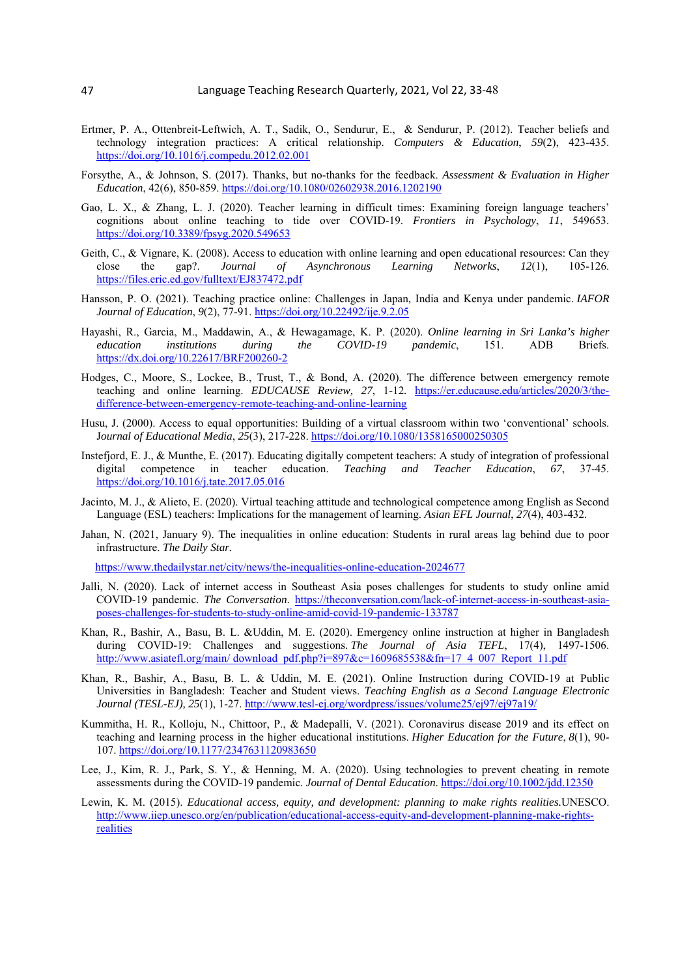- Ertmer, P. A., Ottenbreit-Leftwich, A. T., Sadik, O., Sendurur, E., & Sendurur, P. (2012). Teacher beliefs and technology integration practices: A critical relationship. *Computers & Education*, *59*(2), 423-435. https://doi.org/10.1016/j.compedu.2012.02.001
- Forsythe, A., & Johnson, S. (2017). Thanks, but no-thanks for the feedback. *Assessment & Evaluation in Higher Education*, 42(6), 850-859. https://doi.org/10.1080/02602938.2016.1202190
- Gao, L. X., & Zhang, L. J. (2020). Teacher learning in difficult times: Examining foreign language teachers' cognitions about online teaching to tide over COVID-19. *Frontiers in Psychology*, *11*, 549653. https://doi.org/10.3389/fpsyg.2020.549653
- Geith, C., & Vignare, K. (2008). Access to education with online learning and open educational resources: Can they close the gap?. *Journal of Asynchronous Learning Networks*, *12*(1), 105-126. https://files.eric.ed.gov/fulltext/EJ837472.pdf
- Hansson, P. O. (2021). Teaching practice online: Challenges in Japan, India and Kenya under pandemic. *IAFOR Journal of Education*, *9*(2), 77-91. https://doi.org/10.22492/ije.9.2.05
- Hayashi, R., Garcia, M., Maddawin, A., & Hewagamage, K. P. (2020). *Online learning in Sri Lanka's higher education institutions during the COVID-19 pandemic*, 151. ADB Briefs. https://dx.doi.org/10.22617/BRF200260-2
- Hodges, C., Moore, S., Lockee, B., Trust, T., & Bond, A. (2020). The difference between emergency remote teaching and online learning. *EDUCAUSE Review, 27*, 1-12*.* https://er.educause.edu/articles/2020/3/thedifference-between-emergency-remote-teaching-and-online-learning
- Husu, J. (2000). Access to equal opportunities: Building of a virtual classroom within two 'conventional' schools. J*ournal of Educational Media*, *25*(3), 217-228. https://doi.org/10.1080/1358165000250305
- Instefjord, E. J., & Munthe, E. (2017). Educating digitally competent teachers: A study of integration of professional digital competence in teacher education. *Teaching and Teacher Education*, *67*, 37-45. https://doi.org/10.1016/j.tate.2017.05.016
- Jacinto, M. J., & Alieto, E. (2020). Virtual teaching attitude and technological competence among English as Second Language (ESL) teachers: Implications for the management of learning. *Asian EFL Journal*, *27*(4), 403-432.
- Jahan, N. (2021, January 9). The inequalities in online education: Students in rural areas lag behind due to poor infrastructure. *The Daily Star.*

https://www.thedailystar.net/city/news/the-inequalities-online-education-2024677

- Jalli, N. (2020). Lack of internet access in Southeast Asia poses challenges for students to study online amid COVID-19 pandemic. *The Conversation*. https://theconversation.com/lack-of-internet-access-in-southeast-asiaposes-challenges-for-students-to-study-online-amid-covid-19-pandemic-133787
- Khan, R., Bashir, A., Basu, B. L. &Uddin, M. E. (2020). Emergency online instruction at higher in Bangladesh during COVID-19: Challenges and suggestions. *The Journal of Asia TEFL*, 17(4), 1497-1506. http://www.asiatefl.org/main/ download\_pdf.php?i=897&c=1609685538&fn=17\_4\_007\_Report\_11.pdf
- Khan, R., Bashir, A., Basu, B. L. & Uddin, M. E. (2021). Online Instruction during COVID-19 at Public Universities in Bangladesh: Teacher and Student views. *Teaching English as a Second Language Electronic Journal (TESL-EJ), 25*(1), 1-27. http://www.tesl-ej.org/wordpress/issues/volume25/ej97/ej97a19/
- Kummitha, H. R., Kolloju, N., Chittoor, P., & Madepalli, V. (2021). Coronavirus disease 2019 and its effect on teaching and learning process in the higher educational institutions. *Higher Education for the Future*, *8*(1), 90- 107. https://doi.org/10.1177/2347631120983650
- Lee, J., Kim, R. J., Park, S. Y., & Henning, M. A. (2020). Using technologies to prevent cheating in remote assessments during the COVID-19 pandemic. *Journal of Dental Education*. https://doi.org/10.1002/jdd.12350
- Lewin, K. M. (2015). *Educational access, equity, and development: planning to make rights realities.*UNESCO. http://www.iiep.unesco.org/en/publication/educational-access-equity-and-development-planning-make-rightsrealities